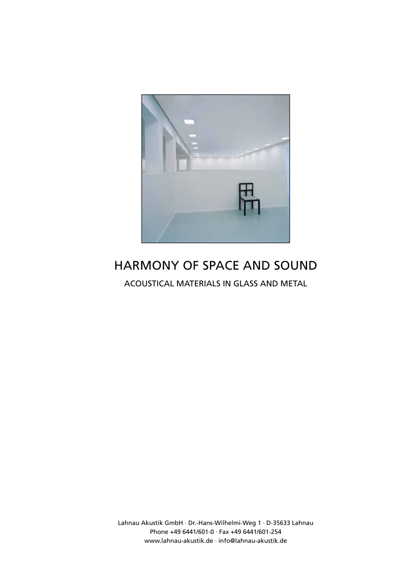

# HARMONY OF SPACE AND SOUND

ACOUSTICAL MATERIALS IN GLASS AND METAL

Lahnau Akustik GmbH · Dr.-Hans-Wilhelmi-Weg 1 · D-35633 Lahnau Phone +49 6441/601-0 · Fax +49 6441/601-254 www.lahnau-akustik.de · info@lahnau-akustik.de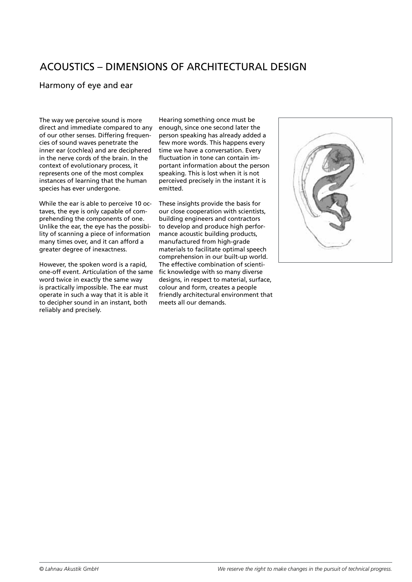# ACOUSTICS – DIMENSIONS OF ARCHITECTURAL DESIGN

### Harmony of eye and ear

The way we perceive sound is more direct and immediate compared to any of our other senses. Differing frequencies of sound waves penetrate the inner ear (cochlea) and are deciphered in the nerve cords of the brain. In the context of evolutionary process, it represents one of the most complex instances of learning that the human species has ever undergone.

While the ear is able to perceive 10 octaves, the eye is only capable of comprehending the components of one. Unlike the ear, the eye has the possibility of scanning a piece of information many times over, and it can afford a greater degree of inexactness.

However, the spoken word is a rapid, one-off event. Articulation of the same word twice in exactly the same way is practically impossible. The ear must operate in such a way that it is able it to decipher sound in an instant, both reliably and precisely.

Hearing something once must be enough, since one second later the person speaking has already added a few more words. This happens every time we have a conversation. Every fluctuation in tone can contain important information about the person speaking. This is lost when it is not perceived precisely in the instant it is emitted.

These insights provide the basis for our close cooperation with scientists, building engineers and contractors to develop and produce high performance acoustic building products, manufactured from high-grade materials to facilitate optimal speech comprehension in our built-up world. The effective combination of scientific knowledge with so many diverse designs, in respect to material, surface, colour and form, creates a people friendly architectural environment that meets all our demands.

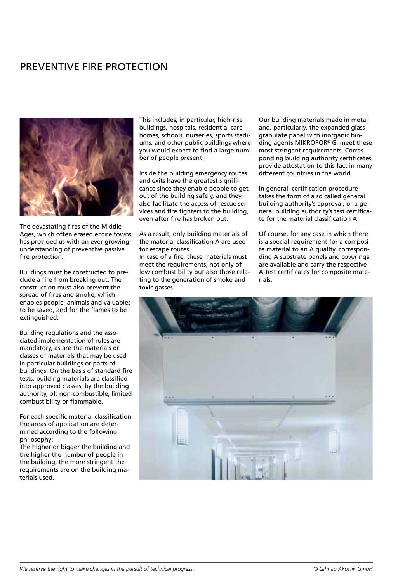# PREVENTIVE FIRE PROTECTION



The devastating fires of the Middle Ages, which often erased entire towns, has provided us with an ever growing understanding of preventive passive fire protection.

Buildings must be constructed to preclude a fire from breaking out. The construction must also prevent the spread of fires and smoke, which enables people, animals and valuables to be saved, and for the flames to be extinguished.

Building regulations and the associated implementation of rules are mandatory, as are the materials or classes of materials that may be used in particular buildings or parts of buildings. On the basis of standard fire tests, building materials are classified into approved classes, by the building authority, of: non-combustible, limited combustibility or flammable.

For each specific material classification the areas of application are determined according to the following philosophy:

The higher or bigger the building and the higher the number of people in the building, the more stringent the requirements are on the building materials used.

This includes, in particular, high-rise buildings, hospitals, residential care homes, schools, nurseries, sports stadiums, and other public buildings where you would expect to find a large number of people present.

Inside the building emergency routes and exits have the greatest significance since they enable people to get out of the building safely, and they also facilitate the access of rescue services and fire fighters to the building, even after fire has broken out.

As a result, only building materials of the material classification A are used for escape routes.

In case of a fire, these materials must meet the requirements, not only of low combustibility but also those relating to the generation of smoke and toxic gasses.

Our building materials made in metal and, particularly, the expanded glass granulate panel with inorganic binding agents MIKROPOR® G, meet these most stringent requirements. Corresponding building authority certificates provide attestation to this fact in many different countries in the world.

In general, certification procedure takes the form of a so called general building authority's approval, or a general building authority's test certificate for the material classification A.

Of course, for any case in which there is a special requirement for a composite material to an A quality, corresponding A substrate panels and coverings are available and carry the respective A-test certificates for composite materials.